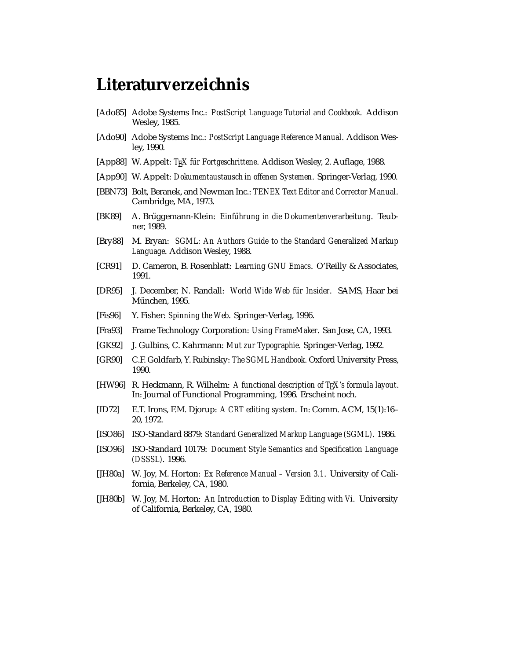## **Literaturverzeichnis**

- [Ado85] Adobe Systems Inc.: *PostScript Language Tutorial and Cookbook*. Addison Wesley, 1985.
- [Ado90] Adobe Systems Inc.: *PostScript Language Reference Manual*. Addison Wesley, 1990.
- [App88] W. Appelt: T<sub>F</sub>X für Fortgeschrittene. Addison Wesley, 2. Auflage, 1988.
- [App90] W. Appelt: *Dokumentaustausch in offenen Systemen*. Springer-Verlag, 1990.
- [BBN73] Bolt, Beranek, and Newman Inc.: *TENEX Text Editor and Corrector Manual*. Cambridge, MA, 1973.
- [BK89] A. Brüggemann-Klein: *Einführung in die Dokumentenverarbeitung*. Teubner, 1989.
- [Bry88] M. Bryan: *SGML: An Authors Guide to the Standard Generalized Markup Language*. Addison Wesley, 1988.
- [CR91] D. Cameron, B. Rosenblatt: *Learning GNU Emacs*. O'Reilly & Associates, 1991.
- [DR95] J. December, N. Randall: *World Wide Web für Insider. SAMS*, Haar bei München, 1995.
- [Fis96] Y. Fisher: *Spinning the Web*. Springer-Verlag, 1996.
- [Fra93] Frame Technology Corporation: *Using FrameMaker*. San Jose, CA, 1993.
- [GK92] J. Gulbins, C. Kahrmann: *Mut zur Typographie*. Springer-Verlag, 1992.
- [GR90] C.F. Goldfarb, Y. Rubinsky: *The SGML Handbook*. Oxford University Press, 1990.
- [HW96] R. Heckmann, R. Wilhelm: *A functional description of TEX's formula layout*. In: Journal of Functional Programming, 1996. Erscheint noch.
- [ID72] E.T. Irons, F.M. Djorup: *A CRT editing system*. In: Comm. ACM, 15(1):16– 20, 1972.
- [ISO86] ISO-Standard 8879: *Standard Generalized Markup Language (SGML)*. 1986.
- [ISO96] ISO-Standard 10179: *Document Style Semantics and Specification Language (DSSSL)*. 1996.
- [JH80a] W. Joy, M. Horton: *Ex Reference Manual Version 3.1*. University of California, Berkeley, CA, 1980.
- [JH80b] W. Joy, M. Horton: *An Introduction to Display Editing with Vi*. University of California, Berkeley, CA, 1980.